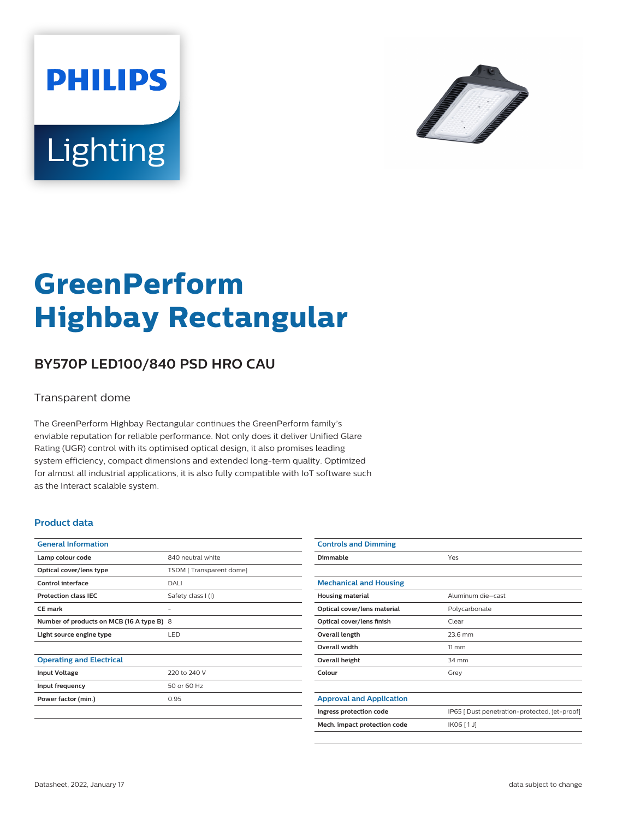



# **GreenPerform Highbay Rectangular**

## **BY570P LED100/840 PSD HRO CAU**

#### Transparent dome

The GreenPerform Highbay Rectangular continues the GreenPerform family's enviable reputation for reliable performance. Not only does it deliver Unified Glare Rating (UGR) control with its optimised optical design, it also promises leading system efficiency, compact dimensions and extended long-term quality. Optimized for almost all industrial applications, it is also fully compatible with IoT software such as the Interact scalable system.

#### **Product data**

| <b>General Information</b>                |                         |
|-------------------------------------------|-------------------------|
| Lamp colour code                          | 840 neutral white       |
| Optical cover/lens type                   | TSDM [Transparent dome] |
| Control interface                         | DALI                    |
| <b>Protection class IEC</b>               | Safety class I (I)      |
| CF mark                                   |                         |
| Number of products on MCB (16 A type B) 8 |                         |
| Light source engine type                  | <b>LED</b>              |
|                                           |                         |
| <b>Operating and Electrical</b>           |                         |
| <b>Input Voltage</b>                      | 220 to 240 V            |
| Input frequency                           | 50 or 60 Hz             |
| Power factor (min.)                       | 0.95                    |
|                                           |                         |

| <b>Controls and Dimming</b>     |                                               |
|---------------------------------|-----------------------------------------------|
| Dimmable                        | Yes                                           |
|                                 |                                               |
| <b>Mechanical and Housing</b>   |                                               |
| <b>Housing material</b>         | Aluminum die-cast                             |
| Optical cover/lens material     | Polycarbonate                                 |
| Optical cover/lens finish       | Clear                                         |
| Overall length                  | 23.6 mm                                       |
| <b>Overall width</b>            | $11 \, \mathrm{mm}$                           |
| Overall height                  | 34 mm                                         |
| Colour                          | Grey                                          |
|                                 |                                               |
| <b>Approval and Application</b> |                                               |
| Ingress protection code         | IP65 [ Dust penetration-protected, jet-proof] |
| Mech. impact protection code    | IK06 [1J]                                     |
|                                 |                                               |